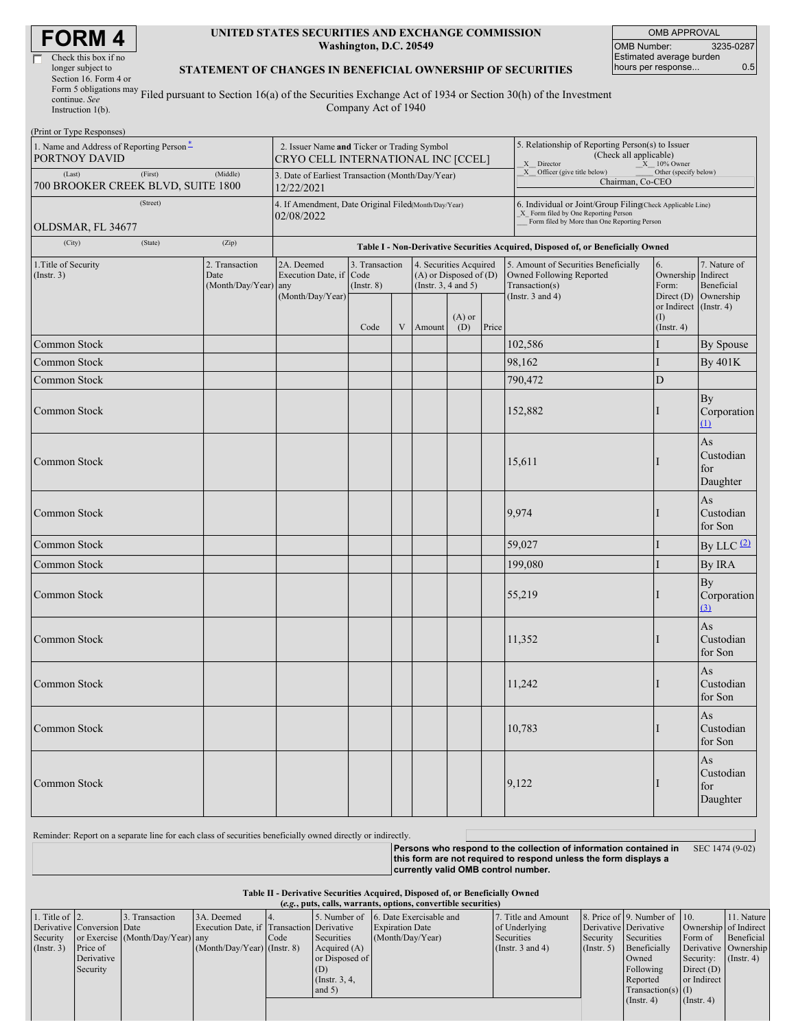| Check this box if no       |
|----------------------------|
| longer subject to          |
| Section 16. Form 4 or      |
| Form 5 obligations may $F$ |
| continue. See              |
|                            |

### **UNITED STATES SECURITIES AND EXCHANGE COMMISSION Washington, D.C. 20549**

OMB APPROVAL OMB Number: 3235-0287 Estimated average burden hours per response... 0.5

## **STATEMENT OF CHANGES IN BENEFICIAL OWNERSHIP OF SECURITIES**

Instruction 1(b). Filed pursuant to Section 16(a) of the Securities Exchange Act of 1934 or Section 30(h) of the Investment Company Act of 1940

| (Print or Type Responses)                                 |                                                                |                                                |                                                                                   |                                                                                                                   |   |                                                                              |                 |                                                                                                                                                     |                       |                                                                                  |                                                        |  |  |  |
|-----------------------------------------------------------|----------------------------------------------------------------|------------------------------------------------|-----------------------------------------------------------------------------------|-------------------------------------------------------------------------------------------------------------------|---|------------------------------------------------------------------------------|-----------------|-----------------------------------------------------------------------------------------------------------------------------------------------------|-----------------------|----------------------------------------------------------------------------------|--------------------------------------------------------|--|--|--|
| 1. Name and Address of Reporting Person*<br>PORTNOY DAVID |                                                                |                                                | 2. Issuer Name and Ticker or Trading Symbol<br>CRYO CELL INTERNATIONAL INC [CCEL] |                                                                                                                   |   |                                                                              |                 | 5. Relationship of Reporting Person(s) to Issuer<br>(Check all applicable)<br>X Director<br>X 10% Owner                                             |                       |                                                                                  |                                                        |  |  |  |
| (Last)<br>700 BROOKER CREEK BLVD, SUITE 1800              | 3. Date of Earliest Transaction (Month/Day/Year)<br>12/22/2021 |                                                |                                                                                   |                                                                                                                   |   | X __ Officer (give title below)<br>Other (specify below)<br>Chairman, Co-CEO |                 |                                                                                                                                                     |                       |                                                                                  |                                                        |  |  |  |
| OLDSMAR, FL 34677                                         | (Street)                                                       |                                                | 4. If Amendment, Date Original Filed(Month/Day/Year)<br>02/08/2022                |                                                                                                                   |   |                                                                              |                 | 6. Individual or Joint/Group Filing(Check Applicable Line)<br>X_ Form filed by One Reporting Person<br>Form filed by More than One Reporting Person |                       |                                                                                  |                                                        |  |  |  |
| (City)                                                    | (State)                                                        | (Zip)                                          |                                                                                   |                                                                                                                   |   |                                                                              |                 |                                                                                                                                                     |                       | Table I - Non-Derivative Securities Acquired, Disposed of, or Beneficially Owned |                                                        |  |  |  |
| 1. Title of Security<br>(Insert. 3)                       |                                                                | 2. Transaction<br>Date<br>(Month/Day/Year) any | 2A. Deemed<br>Execution Date, if Code<br>(Month/Day/Year)                         | 3. Transaction<br>4. Securities Acquired<br>$(A)$ or Disposed of $(D)$<br>(Insert. 3, 4 and 5)<br>$($ Instr. $8)$ |   |                                                                              |                 | 5. Amount of Securities Beneficially<br>6.<br>Owned Following Reported<br>Form:<br>Transaction(s)                                                   |                       | 7. Nature of<br>Ownership Indirect<br>Beneficial<br>Ownership                    |                                                        |  |  |  |
|                                                           |                                                                |                                                |                                                                                   | Code                                                                                                              | V | Amount                                                                       | $(A)$ or<br>(D) | Price                                                                                                                                               | (Instr. $3$ and $4$ ) | Direct $(D)$<br>or Indirect<br>(1)<br>$($ Instr. 4 $)$                           | $($ Instr. 4 $)$                                       |  |  |  |
| Common Stock                                              |                                                                |                                                |                                                                                   |                                                                                                                   |   |                                                                              |                 |                                                                                                                                                     | 102,586               |                                                                                  | By Spouse                                              |  |  |  |
| Common Stock                                              |                                                                |                                                |                                                                                   |                                                                                                                   |   |                                                                              |                 |                                                                                                                                                     | 98,162                |                                                                                  | <b>By 401K</b>                                         |  |  |  |
| Common Stock                                              |                                                                |                                                |                                                                                   |                                                                                                                   |   |                                                                              |                 |                                                                                                                                                     | 790,472               | D                                                                                |                                                        |  |  |  |
| Common Stock                                              |                                                                |                                                |                                                                                   |                                                                                                                   |   |                                                                              |                 |                                                                                                                                                     | 152,882               |                                                                                  | By<br>Corporation<br>(1)                               |  |  |  |
| Common Stock                                              |                                                                |                                                |                                                                                   |                                                                                                                   |   |                                                                              |                 |                                                                                                                                                     | 15,611                |                                                                                  | As<br>Custodian<br>for<br>Daughter                     |  |  |  |
| Common Stock                                              |                                                                |                                                |                                                                                   |                                                                                                                   |   |                                                                              |                 |                                                                                                                                                     | 9,974                 |                                                                                  | As<br>Custodian<br>for Son                             |  |  |  |
| Common Stock                                              |                                                                |                                                |                                                                                   |                                                                                                                   |   |                                                                              |                 |                                                                                                                                                     | 59,027                |                                                                                  | By LLC $(2)$                                           |  |  |  |
| Common Stock                                              |                                                                |                                                |                                                                                   |                                                                                                                   |   |                                                                              |                 |                                                                                                                                                     | 199,080               |                                                                                  | By IRA                                                 |  |  |  |
| Common Stock                                              |                                                                |                                                |                                                                                   |                                                                                                                   |   |                                                                              |                 |                                                                                                                                                     | 55,219                |                                                                                  | By<br>Corporation<br>(3)                               |  |  |  |
| Common Stock                                              |                                                                |                                                |                                                                                   |                                                                                                                   |   |                                                                              |                 |                                                                                                                                                     | 11,352                |                                                                                  | As<br>Custodian<br>for Son                             |  |  |  |
| Common Stock                                              |                                                                |                                                |                                                                                   |                                                                                                                   |   |                                                                              |                 |                                                                                                                                                     | 11,242                |                                                                                  | As<br>Custodian<br>for Son                             |  |  |  |
| Common Stock                                              |                                                                |                                                |                                                                                   |                                                                                                                   |   |                                                                              |                 |                                                                                                                                                     | 10,783                |                                                                                  | $\mathbf{A}\mathbf{s}$<br>Custodian<br>for Son         |  |  |  |
| <b>Common Stock</b>                                       |                                                                |                                                |                                                                                   |                                                                                                                   |   |                                                                              |                 |                                                                                                                                                     | 9,122                 |                                                                                  | $\mathbf{A}\mathbf{s}$<br>Custodian<br>for<br>Daughter |  |  |  |

Reminder: Report on a separate line for each class of securities beneficially owned directly or indirectly.

**Persons who respond to the collection of information contained in this form are not required to respond unless the form displays a currently valid OMB control number.** SEC 1474 (9-02)

#### **Table II - Derivative Securities Acquired, Disposed of, or Beneficially Owned**

|                        | (e.g., puts, calls, warrants, options, convertible securities) |                                  |                                           |      |                 |                         |                       |                       |                              |                       |                  |
|------------------------|----------------------------------------------------------------|----------------------------------|-------------------------------------------|------|-----------------|-------------------------|-----------------------|-----------------------|------------------------------|-----------------------|------------------|
| 1. Title of $\vert$ 2. |                                                                | 3. Transaction                   | 3A. Deemed                                |      | 5. Number of    | 6. Date Exercisable and | 7. Title and Amount   |                       | 8. Price of 9. Number of 10. |                       | 11. Nature       |
|                        | Derivative Conversion Date                                     |                                  | Execution Date, if Transaction Derivative |      |                 | <b>Expiration Date</b>  | of Underlying         | Derivative Derivative |                              | Ownership of Indirect |                  |
| Security               |                                                                | or Exercise (Month/Day/Year) any |                                           | Code | Securities      | (Month/Day/Year)        | Securities            | Security              | Securities                   | Form of               | Beneficial       |
| (Insert. 3)            | Price of                                                       |                                  | $(Month/Day/Year)$ (Instr. 8)             |      | Acquired $(A)$  |                         | (Instr. $3$ and $4$ ) | $($ Instr. 5 $)$      | Beneficially                 | Derivative Ownership  |                  |
|                        | Derivative                                                     |                                  |                                           |      | or Disposed of  |                         |                       |                       | Owned                        | Security:             | $($ Instr. 4 $)$ |
|                        | Security                                                       |                                  |                                           |      | (D)             |                         |                       |                       | Following                    | Direct $(D)$          |                  |
|                        |                                                                |                                  |                                           |      | (Instr. $3, 4,$ |                         |                       |                       | Reported                     | or Indirect           |                  |
|                        |                                                                |                                  |                                           |      | and $5)$        |                         |                       |                       | $Transaction(s)$ (I)         |                       |                  |
|                        |                                                                |                                  |                                           |      |                 |                         |                       |                       | (Insert. 4)                  | $($ Instr. 4)         |                  |
|                        |                                                                |                                  |                                           |      |                 |                         |                       |                       |                              |                       |                  |